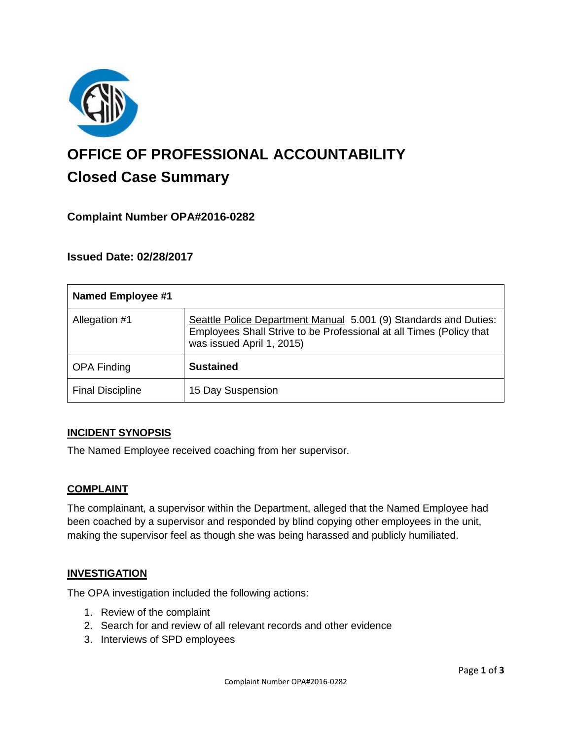

# **OFFICE OF PROFESSIONAL ACCOUNTABILITY Closed Case Summary**

## **Complaint Number OPA#2016-0282**

### **Issued Date: 02/28/2017**

| <b>Named Employee #1</b> |                                                                                                                                                                      |
|--------------------------|----------------------------------------------------------------------------------------------------------------------------------------------------------------------|
| Allegation #1            | Seattle Police Department Manual 5.001 (9) Standards and Duties:<br>Employees Shall Strive to be Professional at all Times (Policy that<br>was issued April 1, 2015) |
| <b>OPA Finding</b>       | <b>Sustained</b>                                                                                                                                                     |
| <b>Final Discipline</b>  | 15 Day Suspension                                                                                                                                                    |

#### **INCIDENT SYNOPSIS**

The Named Employee received coaching from her supervisor.

#### **COMPLAINT**

The complainant, a supervisor within the Department, alleged that the Named Employee had been coached by a supervisor and responded by blind copying other employees in the unit, making the supervisor feel as though she was being harassed and publicly humiliated.

#### **INVESTIGATION**

The OPA investigation included the following actions:

- 1. Review of the complaint
- 2. Search for and review of all relevant records and other evidence
- 3. Interviews of SPD employees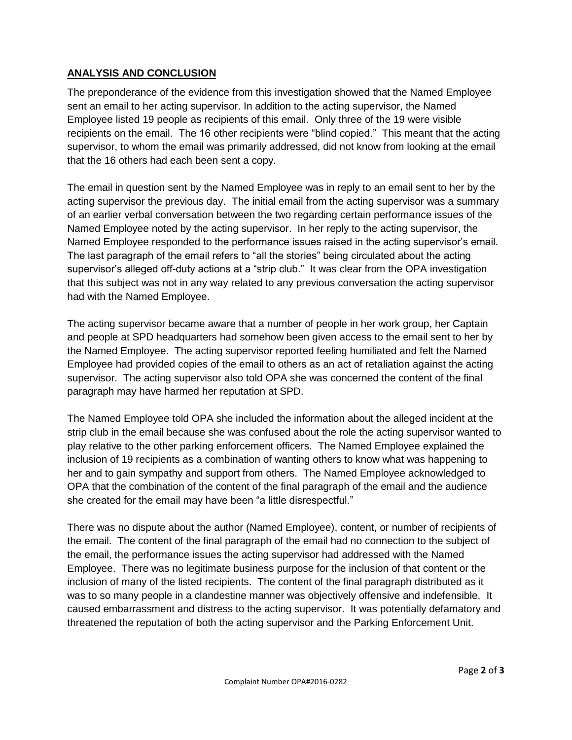## **ANALYSIS AND CONCLUSION**

The preponderance of the evidence from this investigation showed that the Named Employee sent an email to her acting supervisor. In addition to the acting supervisor, the Named Employee listed 19 people as recipients of this email. Only three of the 19 were visible recipients on the email. The 16 other recipients were "blind copied." This meant that the acting supervisor, to whom the email was primarily addressed, did not know from looking at the email that the 16 others had each been sent a copy.

The email in question sent by the Named Employee was in reply to an email sent to her by the acting supervisor the previous day. The initial email from the acting supervisor was a summary of an earlier verbal conversation between the two regarding certain performance issues of the Named Employee noted by the acting supervisor. In her reply to the acting supervisor, the Named Employee responded to the performance issues raised in the acting supervisor's email. The last paragraph of the email refers to "all the stories" being circulated about the acting supervisor's alleged off-duty actions at a "strip club." It was clear from the OPA investigation that this subject was not in any way related to any previous conversation the acting supervisor had with the Named Employee.

The acting supervisor became aware that a number of people in her work group, her Captain and people at SPD headquarters had somehow been given access to the email sent to her by the Named Employee. The acting supervisor reported feeling humiliated and felt the Named Employee had provided copies of the email to others as an act of retaliation against the acting supervisor. The acting supervisor also told OPA she was concerned the content of the final paragraph may have harmed her reputation at SPD.

The Named Employee told OPA she included the information about the alleged incident at the strip club in the email because she was confused about the role the acting supervisor wanted to play relative to the other parking enforcement officers. The Named Employee explained the inclusion of 19 recipients as a combination of wanting others to know what was happening to her and to gain sympathy and support from others. The Named Employee acknowledged to OPA that the combination of the content of the final paragraph of the email and the audience she created for the email may have been "a little disrespectful."

There was no dispute about the author (Named Employee), content, or number of recipients of the email. The content of the final paragraph of the email had no connection to the subject of the email, the performance issues the acting supervisor had addressed with the Named Employee. There was no legitimate business purpose for the inclusion of that content or the inclusion of many of the listed recipients. The content of the final paragraph distributed as it was to so many people in a clandestine manner was objectively offensive and indefensible. It caused embarrassment and distress to the acting supervisor. It was potentially defamatory and threatened the reputation of both the acting supervisor and the Parking Enforcement Unit.